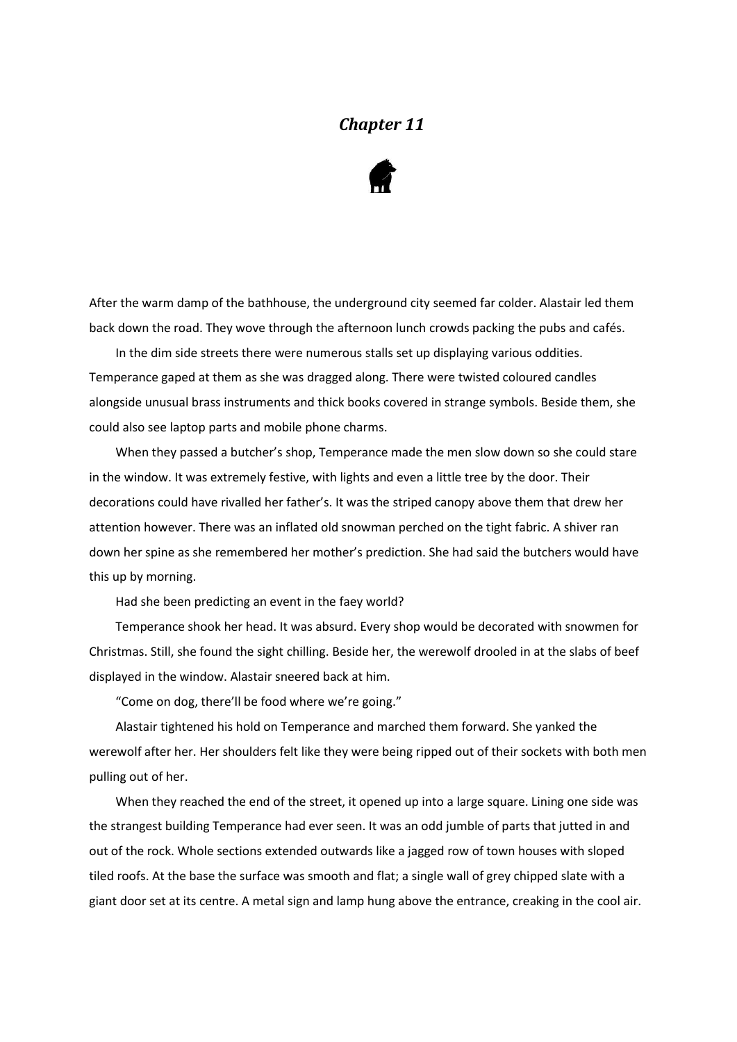## *Chapter 11*



After the warm damp of the bathhouse, the underground city seemed far colder. Alastair led them back down the road. They wove through the afternoon lunch crowds packing the pubs and cafés.

In the dim side streets there were numerous stalls set up displaying various oddities. Temperance gaped at them as she was dragged along. There were twisted coloured candles alongside unusual brass instruments and thick books covered in strange symbols. Beside them, she could also see laptop parts and mobile phone charms.

When they passed a butcher's shop, Temperance made the men slow down so she could stare in the window. It was extremely festive, with lights and even a little tree by the door. Their decorations could have rivalled her father's. It was the striped canopy above them that drew her attention however. There was an inflated old snowman perched on the tight fabric. A shiver ran down her spine as she remembered her mother's prediction. She had said the butchers would have this up by morning.

Had she been predicting an event in the faey world?

Temperance shook her head. It was absurd. Every shop would be decorated with snowmen for Christmas. Still, she found the sight chilling. Beside her, the werewolf drooled in at the slabs of beef displayed in the window. Alastair sneered back at him.

"Come on dog, there'll be food where we're going."

Alastair tightened his hold on Temperance and marched them forward. She yanked the werewolf after her. Her shoulders felt like they were being ripped out of their sockets with both men pulling out of her.

When they reached the end of the street, it opened up into a large square. Lining one side was the strangest building Temperance had ever seen. It was an odd jumble of parts that jutted in and out of the rock. Whole sections extended outwards like a jagged row of town houses with sloped tiled roofs. At the base the surface was smooth and flat; a single wall of grey chipped slate with a giant door set at its centre. A metal sign and lamp hung above the entrance, creaking in the cool air.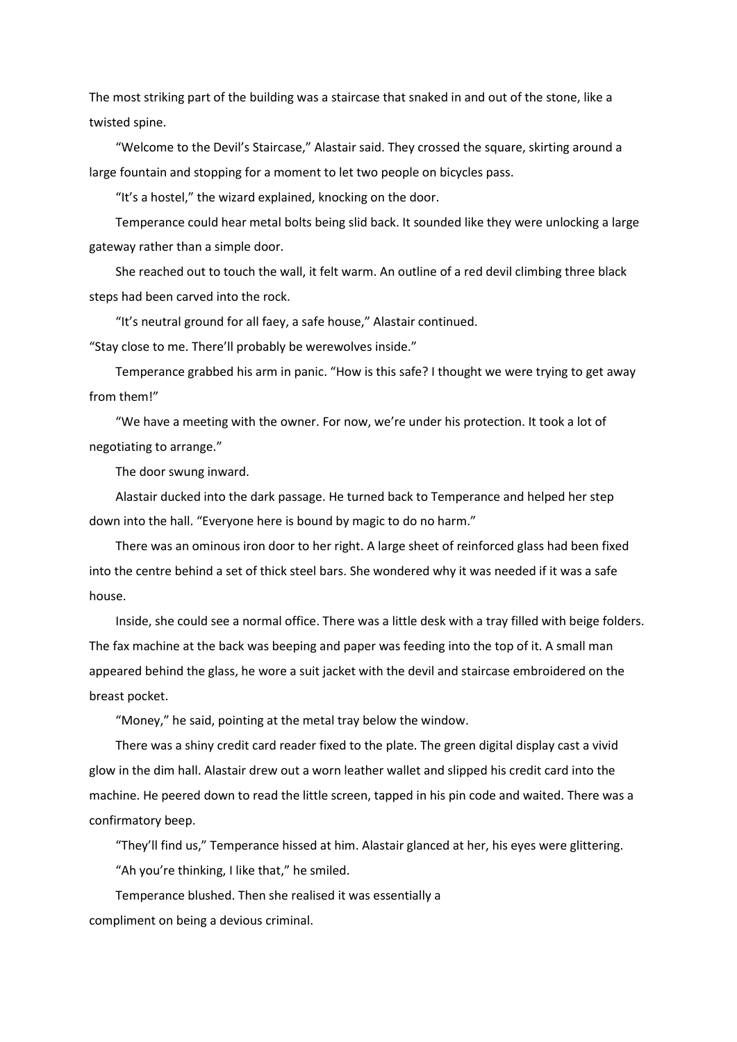The most striking part of the building was a staircase that snaked in and out of the stone, like a twisted spine.

"Welcome to the Devil's Staircase," Alastair said. They crossed the square, skirting around a large fountain and stopping for a moment to let two people on bicycles pass.

"It's a hostel," the wizard explained, knocking on the door.

Temperance could hear metal bolts being slid back. It sounded like they were unlocking a large gateway rather than a simple door.

She reached out to touch the wall, it felt warm. An outline of a red devil climbing three black steps had been carved into the rock.

"It's neutral ground for all faey, a safe house," Alastair continued.

"Stay close to me. There'll probably be werewolves inside."

Temperance grabbed his arm in panic. "How is this safe? I thought we were trying to get away from them!"

"We have a meeting with the owner. For now, we're under his protection. It took a lot of negotiating to arrange."

The door swung inward.

Alastair ducked into the dark passage. He turned back to Temperance and helped her step down into the hall. "Everyone here is bound by magic to do no harm."

There was an ominous iron door to her right. A large sheet of reinforced glass had been fixed into the centre behind a set of thick steel bars. She wondered why it was needed if it was a safe house.

Inside, she could see a normal office. There was a little desk with a tray filled with beige folders. The fax machine at the back was beeping and paper was feeding into the top of it. A small man appeared behind the glass, he wore a suit jacket with the devil and staircase embroidered on the breast pocket.

"Money," he said, pointing at the metal tray below the window.

There was a shiny credit card reader fixed to the plate. The green digital display cast a vivid glow in the dim hall. Alastair drew out a worn leather wallet and slipped his credit card into the machine. He peered down to read the little screen, tapped in his pin code and waited. There was a confirmatory beep.

"They'll find us," Temperance hissed at him. Alastair glanced at her, his eyes were glittering. "Ah you're thinking, I like that," he smiled.

Temperance blushed. Then she realised it was essentially a compliment on being a devious criminal.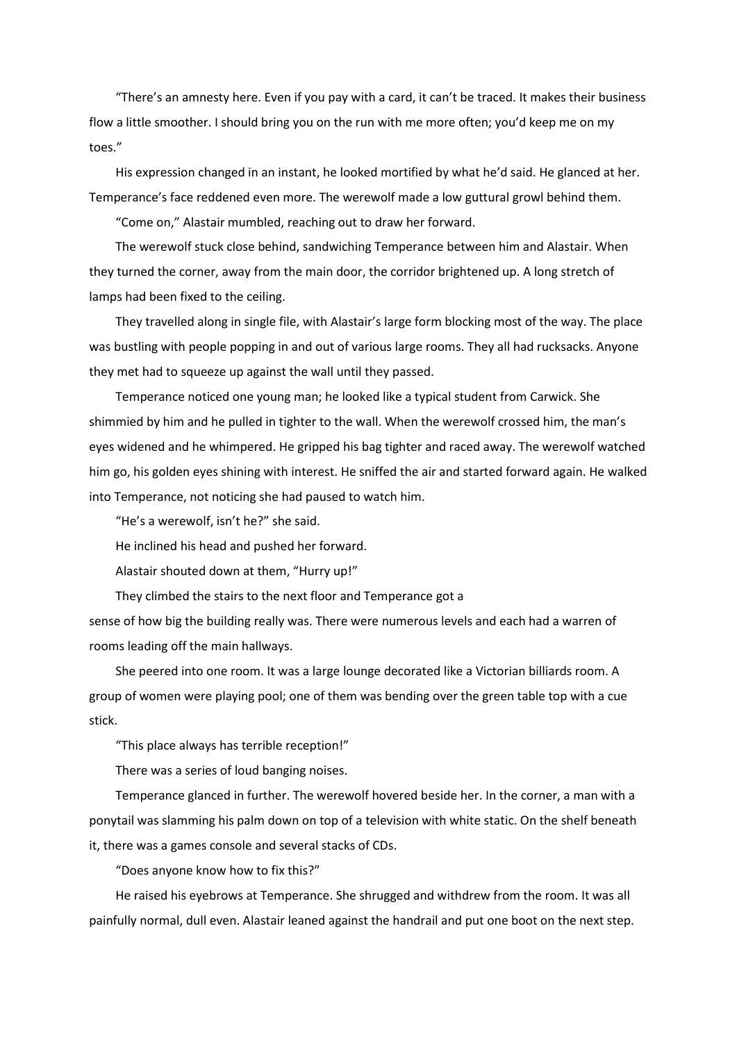"There's an amnesty here. Even if you pay with a card, it can't be traced. It makes their business flow a little smoother. I should bring you on the run with me more often; you'd keep me on my toes."

His expression changed in an instant, he looked mortified by what he'd said. He glanced at her. Temperance's face reddened even more. The werewolf made a low guttural growl behind them.

"Come on," Alastair mumbled, reaching out to draw her forward.

The werewolf stuck close behind, sandwiching Temperance between him and Alastair. When they turned the corner, away from the main door, the corridor brightened up. A long stretch of lamps had been fixed to the ceiling.

They travelled along in single file, with Alastair's large form blocking most of the way. The place was bustling with people popping in and out of various large rooms. They all had rucksacks. Anyone they met had to squeeze up against the wall until they passed.

Temperance noticed one young man; he looked like a typical student from Carwick. She shimmied by him and he pulled in tighter to the wall. When the werewolf crossed him, the man's eyes widened and he whimpered. He gripped his bag tighter and raced away. The werewolf watched him go, his golden eyes shining with interest. He sniffed the air and started forward again. He walked into Temperance, not noticing she had paused to watch him.

"He's a werewolf, isn't he?" she said.

He inclined his head and pushed her forward.

Alastair shouted down at them, "Hurry up!"

They climbed the stairs to the next floor and Temperance got a

sense of how big the building really was. There were numerous levels and each had a warren of rooms leading off the main hallways.

She peered into one room. It was a large lounge decorated like a Victorian billiards room. A group of women were playing pool; one of them was bending over the green table top with a cue stick.

"This place always has terrible reception!"

There was a series of loud banging noises.

Temperance glanced in further. The werewolf hovered beside her. In the corner, a man with a ponytail was slamming his palm down on top of a television with white static. On the shelf beneath it, there was a games console and several stacks of CDs.

"Does anyone know how to fix this?"

He raised his eyebrows at Temperance. She shrugged and withdrew from the room. It was all painfully normal, dull even. Alastair leaned against the handrail and put one boot on the next step.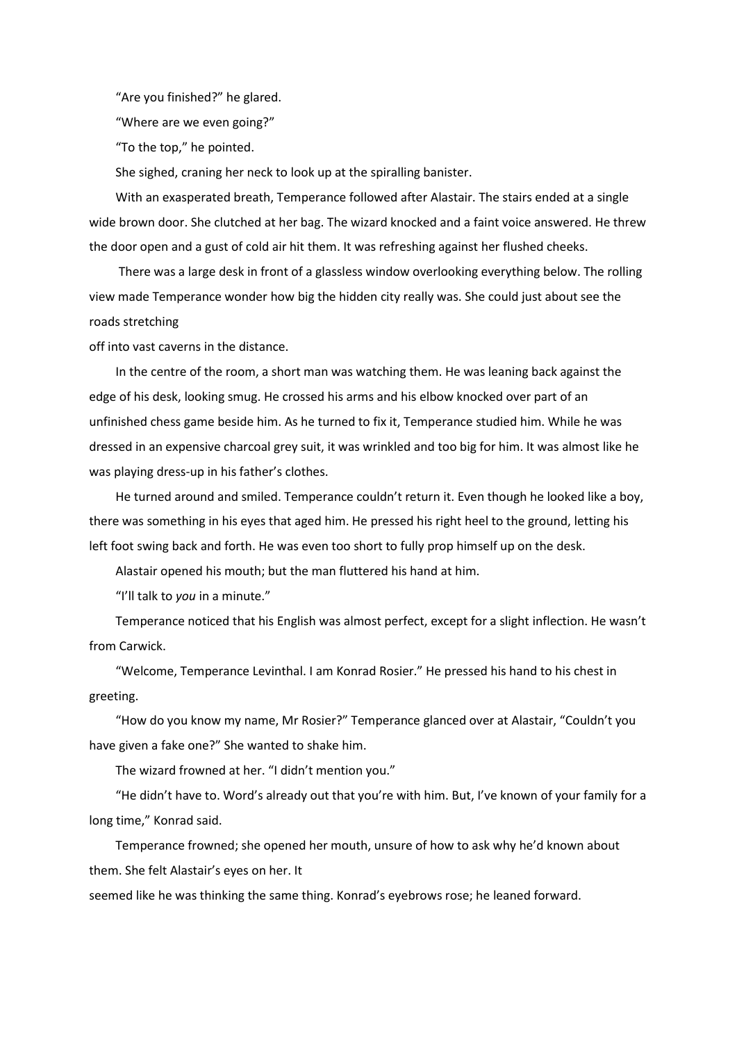"Are you finished?" he glared.

"Where are we even going?"

"To the top," he pointed.

She sighed, craning her neck to look up at the spiralling banister.

With an exasperated breath, Temperance followed after Alastair. The stairs ended at a single wide brown door. She clutched at her bag. The wizard knocked and a faint voice answered. He threw the door open and a gust of cold air hit them. It was refreshing against her flushed cheeks.

There was a large desk in front of a glassless window overlooking everything below. The rolling view made Temperance wonder how big the hidden city really was. She could just about see the roads stretching

off into vast caverns in the distance.

In the centre of the room, a short man was watching them. He was leaning back against the edge of his desk, looking smug. He crossed his arms and his elbow knocked over part of an unfinished chess game beside him. As he turned to fix it, Temperance studied him. While he was dressed in an expensive charcoal grey suit, it was wrinkled and too big for him. It was almost like he was playing dress-up in his father's clothes.

He turned around and smiled. Temperance couldn't return it. Even though he looked like a boy, there was something in his eyes that aged him. He pressed his right heel to the ground, letting his left foot swing back and forth. He was even too short to fully prop himself up on the desk.

Alastair opened his mouth; but the man fluttered his hand at him.

"I'll talk to *you* in a minute."

Temperance noticed that his English was almost perfect, except for a slight inflection. He wasn't from Carwick.

"Welcome, Temperance Levinthal. I am Konrad Rosier." He pressed his hand to his chest in greeting.

"How do you know my name, Mr Rosier?" Temperance glanced over at Alastair, "Couldn't you have given a fake one?" She wanted to shake him.

The wizard frowned at her. "I didn't mention you."

"He didn't have to. Word's already out that you're with him. But, I've known of your family for a long time," Konrad said.

Temperance frowned; she opened her mouth, unsure of how to ask why he'd known about them. She felt Alastair's eyes on her. It

seemed like he was thinking the same thing. Konrad's eyebrows rose; he leaned forward.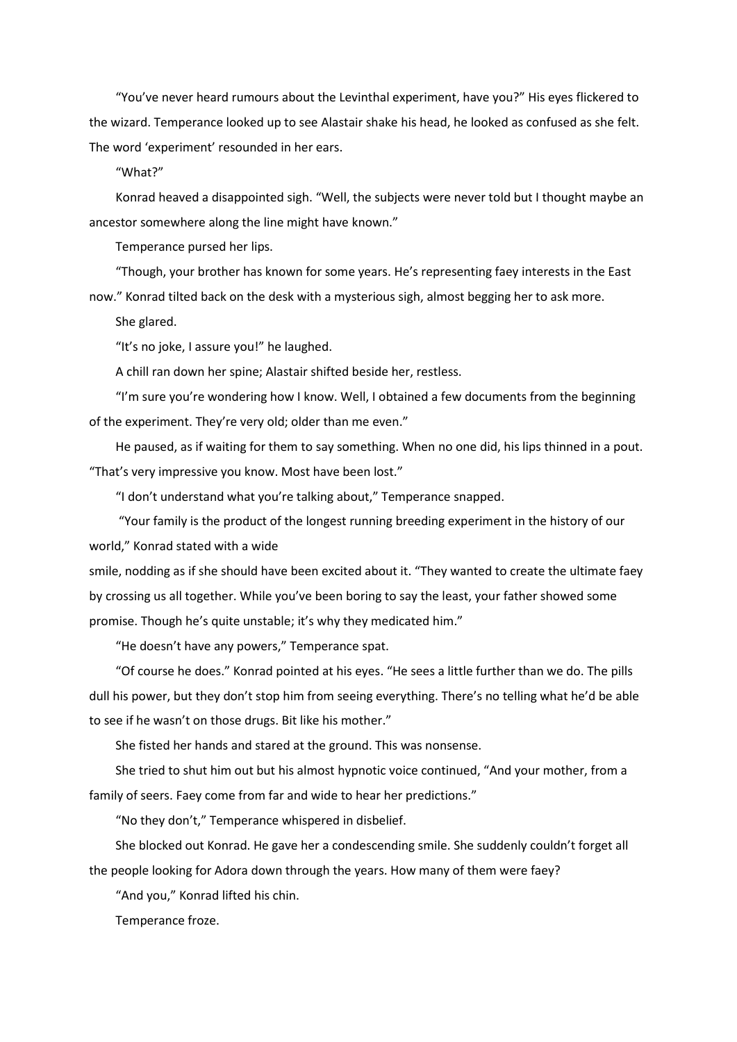"You've never heard rumours about the Levinthal experiment, have you?" His eyes flickered to the wizard. Temperance looked up to see Alastair shake his head, he looked as confused as she felt. The word 'experiment' resounded in her ears.

"What?"

Konrad heaved a disappointed sigh. "Well, the subjects were never told but I thought maybe an ancestor somewhere along the line might have known."

Temperance pursed her lips.

"Though, your brother has known for some years. He's representing faey interests in the East now." Konrad tilted back on the desk with a mysterious sigh, almost begging her to ask more.

She glared.

"It's no joke, I assure you!" he laughed.

A chill ran down her spine; Alastair shifted beside her, restless.

"I'm sure you're wondering how I know. Well, I obtained a few documents from the beginning of the experiment. They're very old; older than me even."

He paused, as if waiting for them to say something. When no one did, his lips thinned in a pout. "That's very impressive you know. Most have been lost."

"I don't understand what you're talking about," Temperance snapped.

"Your family is the product of the longest running breeding experiment in the history of our world," Konrad stated with a wide

smile, nodding as if she should have been excited about it. "They wanted to create the ultimate faey by crossing us all together. While you've been boring to say the least, your father showed some promise. Though he's quite unstable; it's why they medicated him."

"He doesn't have any powers," Temperance spat.

"Of course he does." Konrad pointed at his eyes. "He sees a little further than we do. The pills dull his power, but they don't stop him from seeing everything. There's no telling what he'd be able to see if he wasn't on those drugs. Bit like his mother."

She fisted her hands and stared at the ground. This was nonsense.

She tried to shut him out but his almost hypnotic voice continued, "And your mother, from a family of seers. Faey come from far and wide to hear her predictions."

"No they don't," Temperance whispered in disbelief.

She blocked out Konrad. He gave her a condescending smile. She suddenly couldn't forget all the people looking for Adora down through the years. How many of them were faey?

"And you," Konrad lifted his chin.

Temperance froze.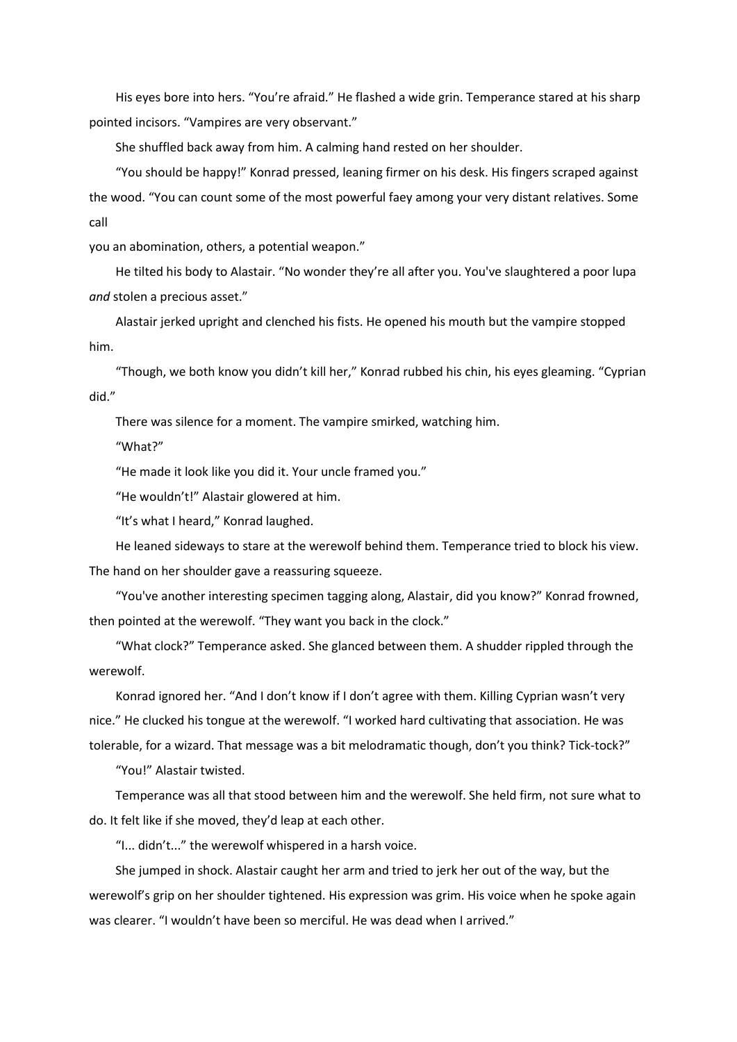His eyes bore into hers. "You're afraid." He flashed a wide grin. Temperance stared at his sharp pointed incisors. "Vampires are very observant."

She shuffled back away from him. A calming hand rested on her shoulder.

"You should be happy!" Konrad pressed, leaning firmer on his desk. His fingers scraped against the wood. "You can count some of the most powerful faey among your very distant relatives. Some call

you an abomination, others, a potential weapon."

He tilted his body to Alastair. "No wonder they're all after you. You've slaughtered a poor lupa *and* stolen a precious asset."

Alastair jerked upright and clenched his fists. He opened his mouth but the vampire stopped him.

"Though, we both know you didn't kill her," Konrad rubbed his chin, his eyes gleaming. "Cyprian did."

There was silence for a moment. The vampire smirked, watching him.

"What?"

"He made it look like you did it. Your uncle framed you."

"He wouldn't!" Alastair glowered at him.

"It's what I heard," Konrad laughed.

He leaned sideways to stare at the werewolf behind them. Temperance tried to block his view. The hand on her shoulder gave a reassuring squeeze.

"You've another interesting specimen tagging along, Alastair, did you know?" Konrad frowned, then pointed at the werewolf. "They want you back in the clock."

"What clock?" Temperance asked. She glanced between them. A shudder rippled through the werewolf.

Konrad ignored her. "And I don't know if I don't agree with them. Killing Cyprian wasn't very nice." He clucked his tongue at the werewolf. "I worked hard cultivating that association. He was tolerable, for a wizard. That message was a bit melodramatic though, don't you think? Tick-tock?"

"You!" Alastair twisted.

Temperance was all that stood between him and the werewolf. She held firm, not sure what to do. It felt like if she moved, they'd leap at each other.

"I... didn't..." the werewolf whispered in a harsh voice.

She jumped in shock. Alastair caught her arm and tried to jerk her out of the way, but the werewolf's grip on her shoulder tightened. His expression was grim. His voice when he spoke again was clearer. "I wouldn't have been so merciful. He was dead when I arrived."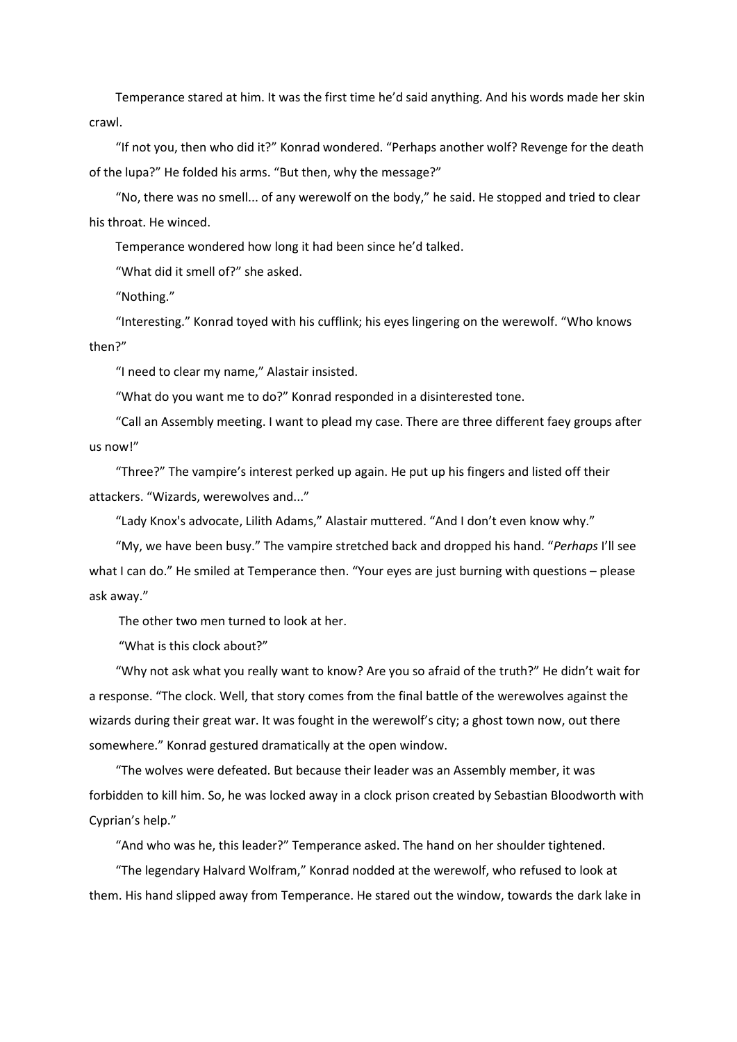Temperance stared at him. It was the first time he'd said anything. And his words made her skin crawl.

"If not you, then who did it?" Konrad wondered. "Perhaps another wolf? Revenge for the death of the lupa?" He folded his arms. "But then, why the message?"

"No, there was no smell... of any werewolf on the body," he said. He stopped and tried to clear his throat. He winced.

Temperance wondered how long it had been since he'd talked.

"What did it smell of?" she asked.

"Nothing."

"Interesting." Konrad toyed with his cufflink; his eyes lingering on the werewolf. "Who knows then?"

"I need to clear my name," Alastair insisted.

"What do you want me to do?" Konrad responded in a disinterested tone.

"Call an Assembly meeting. I want to plead my case. There are three different faey groups after us now!"

"Three?" The vampire's interest perked up again. He put up his fingers and listed off their attackers. "Wizards, werewolves and..."

"Lady Knox's advocate, Lilith Adams," Alastair muttered. "And I don't even know why."

"My, we have been busy." The vampire stretched back and dropped his hand. "*Perhaps* I'll see what I can do." He smiled at Temperance then. "Your eyes are just burning with questions – please ask away."

The other two men turned to look at her.

"What is this clock about?"

"Why not ask what you really want to know? Are you so afraid of the truth?" He didn't wait for a response. "The clock. Well, that story comes from the final battle of the werewolves against the wizards during their great war. It was fought in the werewolf's city; a ghost town now, out there somewhere." Konrad gestured dramatically at the open window.

"The wolves were defeated. But because their leader was an Assembly member, it was forbidden to kill him. So, he was locked away in a clock prison created by Sebastian Bloodworth with Cyprian's help."

"And who was he, this leader?" Temperance asked. The hand on her shoulder tightened.

"The legendary Halvard Wolfram," Konrad nodded at the werewolf, who refused to look at them. His hand slipped away from Temperance. He stared out the window, towards the dark lake in